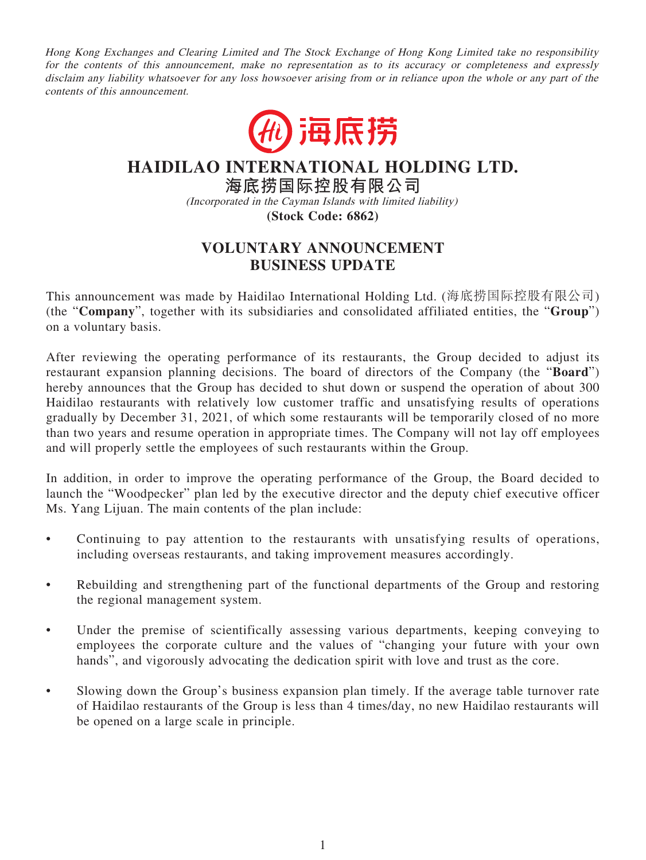Hong Kong Exchanges and Clearing Limited and The Stock Exchange of Hong Kong Limited take no responsibility for the contents of this announcement, make no representation as to its accuracy or completeness and expressly disclaim any liability whatsoever for any loss howsoever arising from or in reliance upon the whole or any part of the contents of this announcement.



**HAIDILAO INTERNATIONAL HOLDING LTD.**

**海底撈國際控股有限公司** (Incorporated in the Cayman Islands with limited liability) **(Stock Code: 6862)**

## **VOLUNTARY ANNOUNCEMENT BUSINESS UPDATE**

This announcement was made by Haidilao International Holding Ltd. (海底撈國際控股有限公司) (the "**Company**", together with its subsidiaries and consolidated affiliated entities, the "**Group**") on a voluntary basis.

After reviewing the operating performance of its restaurants, the Group decided to adjust its restaurant expansion planning decisions. The board of directors of the Company (the "**Board**") hereby announces that the Group has decided to shut down or suspend the operation of about 300 Haidilao restaurants with relatively low customer traffic and unsatisfying results of operations gradually by December 31, 2021, of which some restaurants will be temporarily closed of no more than two years and resume operation in appropriate times. The Company will not lay off employees and will properly settle the employees of such restaurants within the Group.

In addition, in order to improve the operating performance of the Group, the Board decided to launch the "Woodpecker" plan led by the executive director and the deputy chief executive officer Ms. Yang Lijuan. The main contents of the plan include:

- Continuing to pay attention to the restaurants with unsatisfying results of operations, including overseas restaurants, and taking improvement measures accordingly.
- Rebuilding and strengthening part of the functional departments of the Group and restoring the regional management system.
- Under the premise of scientifically assessing various departments, keeping conveying to employees the corporate culture and the values of "changing your future with your own hands", and vigorously advocating the dedication spirit with love and trust as the core.
- Slowing down the Group's business expansion plan timely. If the average table turnover rate of Haidilao restaurants of the Group is less than 4 times/day, no new Haidilao restaurants will be opened on a large scale in principle.